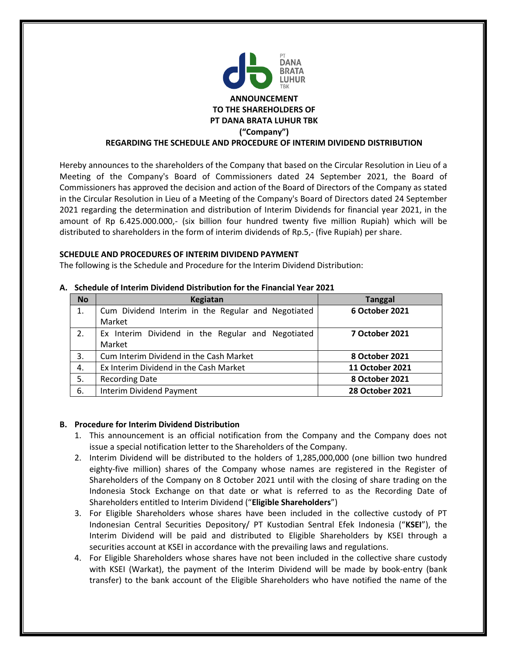

Hereby announces to the shareholders of the Company that based on the Circular Resolution in Lieu of a Meeting of the Company's Board of Commissioners dated 24 September 2021, the Board of Commissioners has approved the decision and action of the Board of Directors of the Company as stated in the Circular Resolution in Lieu of a Meeting of the Company's Board of Directors dated 24 September 2021 regarding the determination and distribution of Interim Dividends for financial year 2021, in the amount of Rp 6.425.000.000,- (six billion four hundred twenty five million Rupiah) which will be distributed to shareholders in the form of interim dividends of Rp.5,- (five Rupiah) per share.

## **SCHEDULE AND PROCEDURES OF INTERIM DIVIDEND PAYMENT**

The following is the Schedule and Procedure for the Interim Dividend Distribution:

| <b>No</b> | Kegiatan                                           | <b>Tanggal</b>         |
|-----------|----------------------------------------------------|------------------------|
| 1.        | Cum Dividend Interim in the Regular and Negotiated | 6 October 2021         |
|           | Market                                             |                        |
| 2.        | Ex Interim Dividend in the Regular and Negotiated  | <b>7 October 2021</b>  |
|           | Market                                             |                        |
| 3.        | Cum Interim Dividend in the Cash Market            | 8 October 2021         |
| 4.        | Ex Interim Dividend in the Cash Market             | 11 October 2021        |
| 5.        | <b>Recording Date</b>                              | 8 October 2021         |
| 6.        | <b>Interim Dividend Payment</b>                    | <b>28 October 2021</b> |

## **A. Schedule of Interim Dividend Distribution for the Financial Year 2021**

# **B. Procedure for Interim Dividend Distribution**

- 1. This announcement is an official notification from the Company and the Company does not issue a special notification letter to the Shareholders of the Company.
- 2. Interim Dividend will be distributed to the holders of 1,285,000,000 (one billion two hundred eighty-five million) shares of the Company whose names are registered in the Register of Shareholders of the Company on 8 October 2021 until with the closing of share trading on the Indonesia Stock Exchange on that date or what is referred to as the Recording Date of Shareholders entitled to Interim Dividend ("**Eligible Shareholders**")
- 3. For Eligible Shareholders whose shares have been included in the collective custody of PT Indonesian Central Securities Depository/ PT Kustodian Sentral Efek Indonesia ("**KSEI**"), the Interim Dividend will be paid and distributed to Eligible Shareholders by KSEI through a securities account at KSEI in accordance with the prevailing laws and regulations.
- 4. For Eligible Shareholders whose shares have not been included in the collective share custody with KSEI (Warkat), the payment of the Interim Dividend will be made by book-entry (bank transfer) to the bank account of the Eligible Shareholders who have notified the name of the